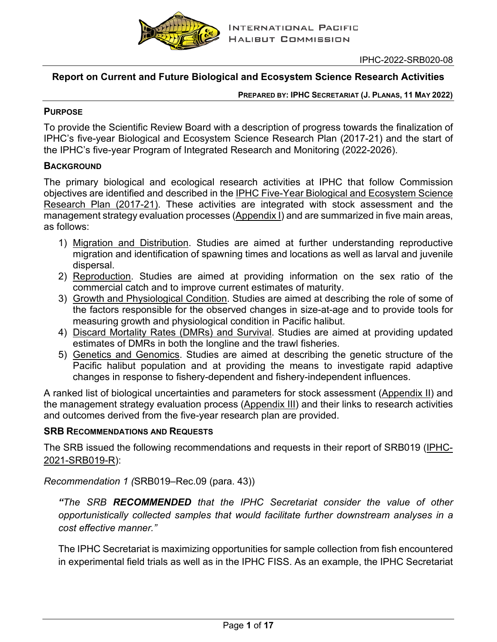

IPHC-2022-SRB020-08

## **Report on Current and Future Biological and Ecosystem Science Research Activities**

**PREPARED BY: IPHC SECRETARIAT (J. PLANAS, 11 MAY 2022)** 

#### **PURPOSE**

To provide the Scientific Review Board with a description of progress towards the finalization of IPHC's five-year Biological and Ecosystem Science Research Plan (2017-21) and the start of the IPHC's five-year Program of Integrated Research and Monitoring (2022-2026).

#### **BACKGROUND**

The primary biological and ecological research activities at IPHC that follow Commission objectives are identified and described in the [IPHC Five-Year Biological and Ecosystem Science](https://www.iphc.int/uploads/pdf/besrp/2019/iphc-2019-besrp-5yp.pdf)  [Research Plan \(2017-21\).](https://www.iphc.int/uploads/pdf/besrp/2019/iphc-2019-besrp-5yp.pdf) These activities are integrated with stock assessment and the management strategy evaluation processes [\(Appendix I\)](#page-13-0) and are summarized in five main areas, as follows:

- 1) Migration and Distribution. Studies are aimed at further understanding reproductive migration and identification of spawning times and locations as well as larval and juvenile dispersal.
- 2) Reproduction. Studies are aimed at providing information on the sex ratio of the commercial catch and to improve current estimates of maturity.
- 3) Growth and Physiological Condition. Studies are aimed at describing the role of some of the factors responsible for the observed changes in size-at-age and to provide tools for measuring growth and physiological condition in Pacific halibut.
- 4) Discard Mortality Rates (DMRs) and Survival. Studies are aimed at providing updated estimates of DMRs in both the longline and the trawl fisheries.
- 5) Genetics and Genomics. Studies are aimed at describing the genetic structure of the Pacific halibut population and at providing the means to investigate rapid adaptive changes in response to fishery-dependent and fishery-independent influences.

A ranked list of biological uncertainties and parameters for stock assessment [\(Appendix II\)](#page-14-0) and the management strategy evaluation process [\(Appendix III\)](#page-15-0) and their links to research activities and outcomes derived from the five-year research plan are provided.

#### **SRB RECOMMENDATIONS AND REQUESTS**

The SRB issued the following recommendations and requests in their report of SRB019 [\(IPHC-](https://www.iphc.int/uploads/pdf/srb/srb019/iphc-2021-srb019-r.pdf)[2021-SRB019-R\)](https://www.iphc.int/uploads/pdf/srb/srb019/iphc-2021-srb019-r.pdf):

*Recommendation 1 (*SRB019–Rec.09 (para. 43))

*"The SRB RECOMMENDED that the IPHC Secretariat consider the value of other opportunistically collected samples that would facilitate further downstream analyses in a cost effective manner."*

The IPHC Secretariat is maximizing opportunities for sample collection from fish encountered in experimental field trials as well as in the IPHC FISS. As an example, the IPHC Secretariat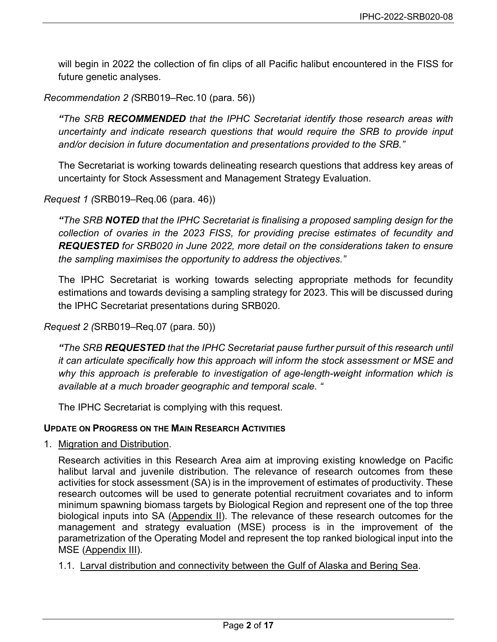will begin in 2022 the collection of fin clips of all Pacific halibut encountered in the FISS for future genetic analyses.

#### *Recommendation 2 (*SRB019–Rec.10 (para. 56))

*"The SRB RECOMMENDED that the IPHC Secretariat identify those research areas with uncertainty and indicate research questions that would require the SRB to provide input and/or decision in future documentation and presentations provided to the SRB."* 

The Secretariat is working towards delineating research questions that address key areas of uncertainty for Stock Assessment and Management Strategy Evaluation.

#### *Request 1 (*SRB019–Req.06 (para. 46))

*"The SRB NOTED that the IPHC Secretariat is finalising a proposed sampling design for the collection of ovaries in the 2023 FISS, for providing precise estimates of fecundity and REQUESTED for SRB020 in June 2022, more detail on the considerations taken to ensure the sampling maximises the opportunity to address the objectives."* 

The IPHC Secretariat is working towards selecting appropriate methods for fecundity estimations and towards devising a sampling strategy for 2023. This will be discussed during the IPHC Secretariat presentations during SRB020.

#### *Request 2 (*SRB019–Req.07 (para. 50))

*"The SRB REQUESTED that the IPHC Secretariat pause further pursuit of this research until it can articulate specifically how this approach will inform the stock assessment or MSE and why this approach is preferable to investigation of age-length-weight information which is available at a much broader geographic and temporal scale. "*

The IPHC Secretariat is complying with this request.

#### **UPDATE ON PROGRESS ON THE MAIN RESEARCH ACTIVITIES**

1. Migration and Distribution.

Research activities in this Research Area aim at improving existing knowledge on Pacific halibut larval and juvenile distribution. The relevance of research outcomes from these activities for stock assessment (SA) is in the improvement of estimates of productivity. These research outcomes will be used to generate potential recruitment covariates and to inform minimum spawning biomass targets by Biological Region and represent one of the top three biological inputs into SA [\(Appendix II\)](#page-14-0). The relevance of these research outcomes for the management and strategy evaluation (MSE) process is in the improvement of the parametrization of the Operating Model and represent the top ranked biological input into the MSE [\(Appendix III\)](#page-15-0).

1.1. Larval distribution and connectivity between the Gulf of Alaska and Bering Sea.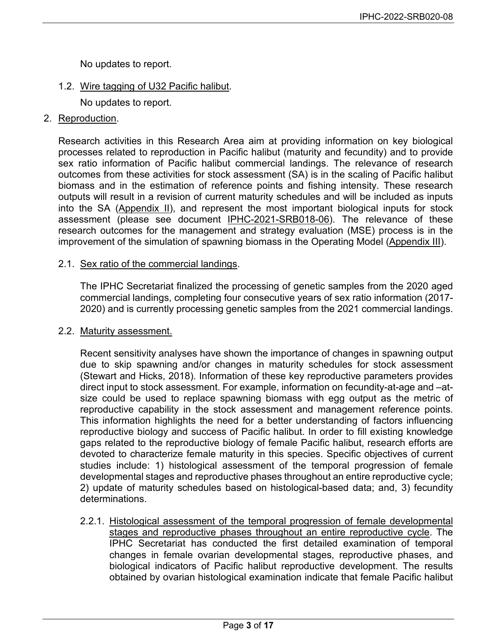No updates to report.

1.2. Wire tagging of U32 Pacific halibut.

No updates to report.

2. Reproduction.

Research activities in this Research Area aim at providing information on key biological processes related to reproduction in Pacific halibut (maturity and fecundity) and to provide sex ratio information of Pacific halibut commercial landings. The relevance of research outcomes from these activities for stock assessment (SA) is in the scaling of Pacific halibut biomass and in the estimation of reference points and fishing intensity. These research outputs will result in a revision of current maturity schedules and will be included as inputs into the SA [\(Appendix II\)](#page-14-0), and represent the most important biological inputs for stock assessment (please see document [IPHC-2021-SRB018-06\)](https://www.iphc.int/uploads/pdf/srb/srb018/iphc-2021-srb018-06.pdf). The relevance of these research outcomes for the management and strategy evaluation (MSE) process is in the improvement of the simulation of spawning biomass in the Operating Model [\(Appendix III\)](#page-15-0).

#### 2.1. Sex ratio of the commercial landings.

The IPHC Secretariat finalized the processing of genetic samples from the 2020 aged commercial landings, completing four consecutive years of sex ratio information (2017- 2020) and is currently processing genetic samples from the 2021 commercial landings.

#### 2.2. Maturity assessment.

Recent sensitivity analyses have shown the importance of changes in spawning output due to skip spawning and/or changes in maturity schedules for stock assessment (Stewart and Hicks, 2018). Information of these key reproductive parameters provides direct input to stock assessment. For example, information on fecundity-at-age and –atsize could be used to replace spawning biomass with egg output as the metric of reproductive capability in the stock assessment and management reference points. This information highlights the need for a better understanding of factors influencing reproductive biology and success of Pacific halibut. In order to fill existing knowledge gaps related to the reproductive biology of female Pacific halibut, research efforts are devoted to characterize female maturity in this species. Specific objectives of current studies include: 1) histological assessment of the temporal progression of female developmental stages and reproductive phases throughout an entire reproductive cycle; 2) update of maturity schedules based on histological-based data; and, 3) fecundity determinations.

2.2.1. Histological assessment of the temporal progression of female developmental stages and reproductive phases throughout an entire reproductive cycle. The IPHC Secretariat has conducted the first detailed examination of temporal changes in female ovarian developmental stages, reproductive phases, and biological indicators of Pacific halibut reproductive development. The results obtained by ovarian histological examination indicate that female Pacific halibut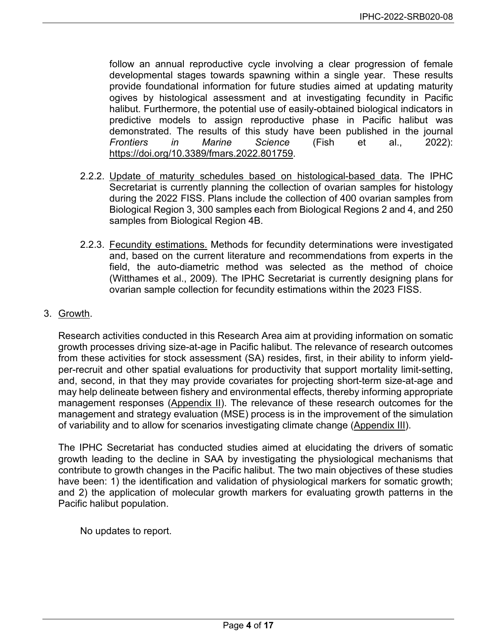follow an annual reproductive cycle involving a clear progression of female developmental stages towards spawning within a single year. These results provide foundational information for future studies aimed at updating maturity ogives by histological assessment and at investigating fecundity in Pacific halibut. Furthermore, the potential use of easily-obtained biological indicators in predictive models to assign reproductive phase in Pacific halibut was demonstrated. The results of this study have been published in the journal *Frontiers in Marine Science* (Fish et al., 2022): [https://doi.org/10.3389/fmars.2022.801759.](https://doi.org/10.3389/fmars.2022.801759)

- 2.2.2. Update of maturity schedules based on histological-based data. The IPHC Secretariat is currently planning the collection of ovarian samples for histology during the 2022 FISS. Plans include the collection of 400 ovarian samples from Biological Region 3, 300 samples each from Biological Regions 2 and 4, and 250 samples from Biological Region 4B.
- 2.2.3. Fecundity estimations. Methods for fecundity determinations were investigated and, based on the current literature and recommendations from experts in the field, the auto-diametric method was selected as the method of choice (Witthames et al., 2009). The IPHC Secretariat is currently designing plans for ovarian sample collection for fecundity estimations within the 2023 FISS.
- 3. Growth.

Research activities conducted in this Research Area aim at providing information on somatic growth processes driving size-at-age in Pacific halibut. The relevance of research outcomes from these activities for stock assessment (SA) resides, first, in their ability to inform yieldper-recruit and other spatial evaluations for productivity that support mortality limit-setting, and, second, in that they may provide covariates for projecting short-term size-at-age and may help delineate between fishery and environmental effects, thereby informing appropriate management responses [\(Appendix II\)](#page-14-0). The relevance of these research outcomes for the management and strategy evaluation (MSE) process is in the improvement of the simulation of variability and to allow for scenarios investigating climate change [\(Appendix III\)](#page-15-0).

The IPHC Secretariat has conducted studies aimed at elucidating the drivers of somatic growth leading to the decline in SAA by investigating the physiological mechanisms that contribute to growth changes in the Pacific halibut. The two main objectives of these studies have been: 1) the identification and validation of physiological markers for somatic growth; and 2) the application of molecular growth markers for evaluating growth patterns in the Pacific halibut population.

No updates to report.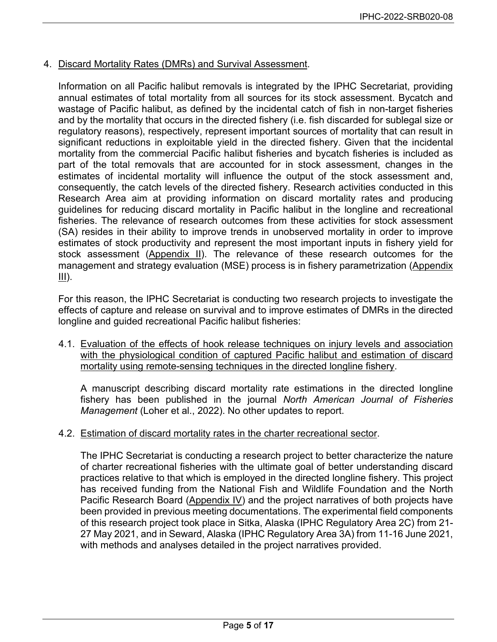#### 4. Discard Mortality Rates (DMRs) and Survival Assessment.

Information on all Pacific halibut removals is integrated by the IPHC Secretariat, providing annual estimates of total mortality from all sources for its stock assessment. Bycatch and wastage of Pacific halibut, as defined by the incidental catch of fish in non-target fisheries and by the mortality that occurs in the directed fishery (i.e. fish discarded for sublegal size or regulatory reasons), respectively, represent important sources of mortality that can result in significant reductions in exploitable yield in the directed fishery. Given that the incidental mortality from the commercial Pacific halibut fisheries and bycatch fisheries is included as part of the total removals that are accounted for in stock assessment, changes in the estimates of incidental mortality will influence the output of the stock assessment and, consequently, the catch levels of the directed fishery. Research activities conducted in this Research Area aim at providing information on discard mortality rates and producing guidelines for reducing discard mortality in Pacific halibut in the longline and recreational fisheries. The relevance of research outcomes from these activities for stock assessment (SA) resides in their ability to improve trends in unobserved mortality in order to improve estimates of stock productivity and represent the most important inputs in fishery yield for stock assessment [\(Appendix II\)](#page-14-0). The relevance of these research outcomes for the management and strategy evaluation (MSE) process is in fishery parametrization [\(Appendix](#page-15-0)   $III$ ).

For this reason, the IPHC Secretariat is conducting two research projects to investigate the effects of capture and release on survival and to improve estimates of DMRs in the directed longline and guided recreational Pacific halibut fisheries:

4.1. Evaluation of the effects of hook release techniques on injury levels and association with the physiological condition of captured Pacific halibut and estimation of discard mortality using remote-sensing techniques in the directed longline fishery.

A manuscript describing discard mortality rate estimations in the directed longline fishery has been published in the journal *North American Journal of Fisheries Management* (Loher et al., 2022). No other updates to report.

4.2. Estimation of discard mortality rates in the charter recreational sector.

The IPHC Secretariat is conducting a research project to better characterize the nature of charter recreational fisheries with the ultimate goal of better understanding discard practices relative to that which is employed in the directed longline fishery. This project has received funding from the National Fish and Wildlife Foundation and the North Pacific Research Board [\(Appendix IV\)](#page-16-0) and the project narratives of both projects have been provided in previous meeting documentations. The experimental field components of this research project took place in Sitka, Alaska (IPHC Regulatory Area 2C) from 21- 27 May 2021, and in Seward, Alaska (IPHC Regulatory Area 3A) from 11-16 June 2021, with methods and analyses detailed in the project narratives provided.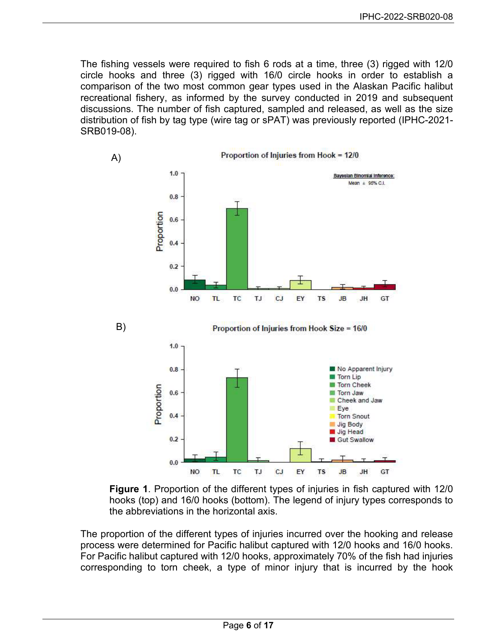The fishing vessels were required to fish 6 rods at a time, three (3) rigged with 12/0 circle hooks and three (3) rigged with 16/0 circle hooks in order to establish a comparison of the two most common gear types used in the Alaskan Pacific halibut recreational fishery, as informed by the survey conducted in 2019 and subsequent discussions. The number of fish captured, sampled and released, as well as the size distribution of fish by tag type (wire tag or sPAT) was previously reported (IPHC-2021- SRB019-08).





The proportion of the different types of injuries incurred over the hooking and release process were determined for Pacific halibut captured with 12/0 hooks and 16/0 hooks. For Pacific halibut captured with 12/0 hooks, approximately 70% of the fish had injuries corresponding to torn cheek, a type of minor injury that is incurred by the hook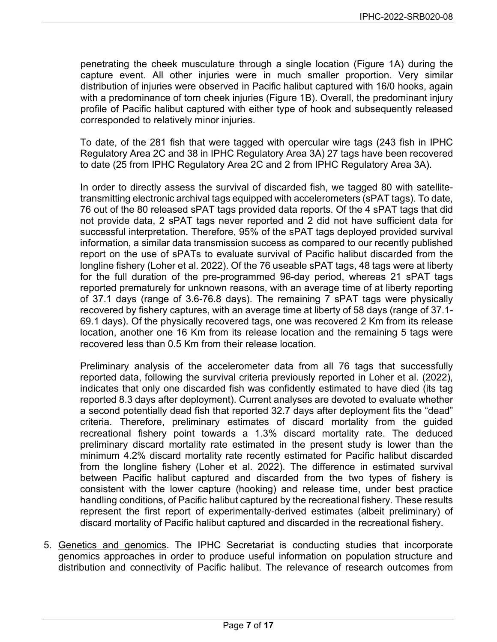penetrating the cheek musculature through a single location (Figure 1A) during the capture event. All other injuries were in much smaller proportion. Very similar distribution of injuries were observed in Pacific halibut captured with 16/0 hooks, again with a predominance of torn cheek injuries (Figure 1B). Overall, the predominant injury profile of Pacific halibut captured with either type of hook and subsequently released corresponded to relatively minor injuries.

To date, of the 281 fish that were tagged with opercular wire tags (243 fish in IPHC Regulatory Area 2C and 38 in IPHC Regulatory Area 3A) 27 tags have been recovered to date (25 from IPHC Regulatory Area 2C and 2 from IPHC Regulatory Area 3A).

In order to directly assess the survival of discarded fish, we tagged 80 with satellitetransmitting electronic archival tags equipped with accelerometers (sPAT tags). To date, 76 out of the 80 released sPAT tags provided data reports. Of the 4 sPAT tags that did not provide data, 2 sPAT tags never reported and 2 did not have sufficient data for successful interpretation. Therefore, 95% of the sPAT tags deployed provided survival information, a similar data transmission success as compared to our recently published report on the use of sPATs to evaluate survival of Pacific halibut discarded from the longline fishery (Loher et al. 2022). Of the 76 useable sPAT tags, 48 tags were at liberty for the full duration of the pre-programmed 96-day period, whereas 21 sPAT tags reported prematurely for unknown reasons, with an average time of at liberty reporting of 37.1 days (range of 3.6-76.8 days). The remaining 7 sPAT tags were physically recovered by fishery captures, with an average time at liberty of 58 days (range of 37.1- 69.1 days). Of the physically recovered tags, one was recovered 2 Km from its release location, another one 16 Km from its release location and the remaining 5 tags were recovered less than 0.5 Km from their release location.

Preliminary analysis of the accelerometer data from all 76 tags that successfully reported data, following the survival criteria previously reported in Loher et al. (2022), indicates that only one discarded fish was confidently estimated to have died (its tag reported 8.3 days after deployment). Current analyses are devoted to evaluate whether a second potentially dead fish that reported 32.7 days after deployment fits the "dead" criteria. Therefore, preliminary estimates of discard mortality from the guided recreational fishery point towards a 1.3% discard mortality rate. The deduced preliminary discard mortality rate estimated in the present study is lower than the minimum 4.2% discard mortality rate recently estimated for Pacific halibut discarded from the longline fishery (Loher et al. 2022). The difference in estimated survival between Pacific halibut captured and discarded from the two types of fishery is consistent with the lower capture (hooking) and release time, under best practice handling conditions, of Pacific halibut captured by the recreational fishery. These results represent the first report of experimentally-derived estimates (albeit preliminary) of discard mortality of Pacific halibut captured and discarded in the recreational fishery.

5. Genetics and genomics. The IPHC Secretariat is conducting studies that incorporate genomics approaches in order to produce useful information on population structure and distribution and connectivity of Pacific halibut. The relevance of research outcomes from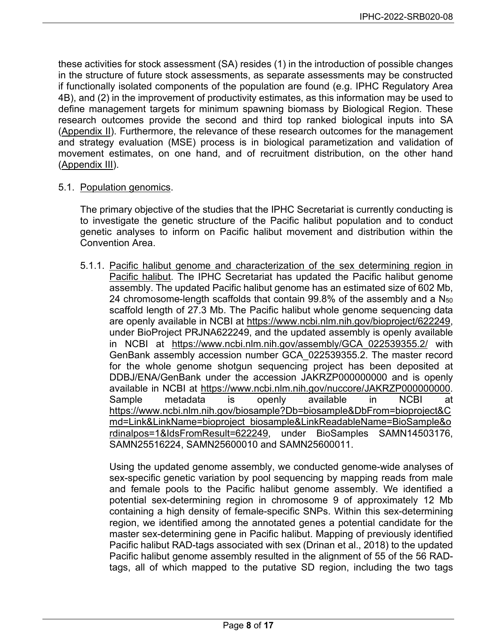these activities for stock assessment (SA) resides (1) in the introduction of possible changes in the structure of future stock assessments, as separate assessments may be constructed if functionally isolated components of the population are found (e.g. IPHC Regulatory Area 4B), and (2) in the improvement of productivity estimates, as this information may be used to define management targets for minimum spawning biomass by Biological Region. These research outcomes provide the second and third top ranked biological inputs into SA [\(Appendix II\)](#page-14-0). Furthermore, the relevance of these research outcomes for the management and strategy evaluation (MSE) process is in biological parametization and validation of movement estimates, on one hand, and of recruitment distribution, on the other hand [\(Appendix III\)](#page-15-0).

#### 5.1. Population genomics.

The primary objective of the studies that the IPHC Secretariat is currently conducting is to investigate the genetic structure of the Pacific halibut population and to conduct genetic analyses to inform on Pacific halibut movement and distribution within the Convention Area.

5.1.1. Pacific halibut genome and characterization of the sex determining region in Pacific halibut. The IPHC Secretariat has updated the Pacific halibut genome assembly. The updated Pacific halibut genome has an estimated size of 602 Mb, 24 chromosome-length scaffolds that contain 99.8% of the assembly and a N<sub>50</sub> scaffold length of 27.3 Mb. The Pacific halibut whole genome sequencing data are openly available in NCBI at [https://www.ncbi.nlm.nih.gov/bioproject/622249,](https://www.ncbi.nlm.nih.gov/bioproject/622249) under BioProject PRJNA622249, and the updated assembly is openly available in NCBI at [https://www.ncbi.nlm.nih.gov/assembly/GCA\\_022539355.2/](https://www.ncbi.nlm.nih.gov/assembly/GCA_022539355.2/) with GenBank assembly accession number GCA\_022539355.2. The master record for the whole genome shotgun sequencing project has been deposited at DDBJ/ENA/GenBank under the accession JAKRZP000000000 and is openly available in NCBI at [https://www.ncbi.nlm.nih.gov/nuccore/JAKRZP000000000.](https://www.ncbi.nlm.nih.gov/nuccore/JAKRZP000000000) Sample metadata is openly available in NCBI at [https://www.ncbi.nlm.nih.gov/biosample?Db=biosample&DbFrom=bioproject&C](https://www.ncbi.nlm.nih.gov/biosample?Db=biosample&DbFrom=bioproject&Cmd=Link&LinkName=bioproject_biosample&LinkReadableName=BioSample&ordinalpos=1&IdsFromResult=622249) [md=Link&LinkName=bioproject\\_biosample&LinkReadableName=BioSample&o](https://www.ncbi.nlm.nih.gov/biosample?Db=biosample&DbFrom=bioproject&Cmd=Link&LinkName=bioproject_biosample&LinkReadableName=BioSample&ordinalpos=1&IdsFromResult=622249) [rdinalpos=1&IdsFromResult=622249,](https://www.ncbi.nlm.nih.gov/biosample?Db=biosample&DbFrom=bioproject&Cmd=Link&LinkName=bioproject_biosample&LinkReadableName=BioSample&ordinalpos=1&IdsFromResult=622249) under BioSamples SAMN14503176, SAMN25516224, SAMN25600010 and SAMN25600011.

Using the updated genome assembly, we conducted genome-wide analyses of sex-specific genetic variation by pool sequencing by mapping reads from male and female pools to the Pacific halibut genome assembly. We identified a potential sex-determining region in chromosome 9 of approximately 12 Mb containing a high density of female-specific SNPs. Within this sex-determining region, we identified among the annotated genes a potential candidate for the master sex-determining gene in Pacific halibut. Mapping of previously identified Pacific halibut RAD-tags associated with sex (Drinan et al., 2018) to the updated Pacific halibut genome assembly resulted in the alignment of 55 of the 56 RADtags, all of which mapped to the putative SD region, including the two tags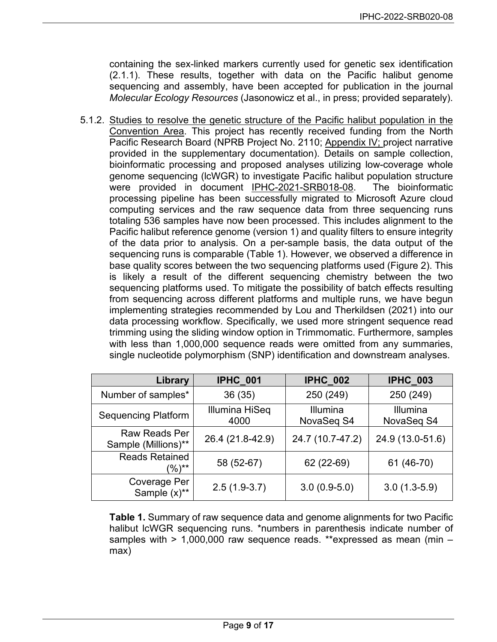containing the sex-linked markers currently used for genetic sex identification (2.1.1). These results, together with data on the Pacific halibut genome sequencing and assembly, have been accepted for publication in the journal *Molecular Ecology Resources* (Jasonowicz et al., in press; provided separately).

5.1.2. Studies to resolve the genetic structure of the Pacific halibut population in the Convention Area. This project has recently received funding from the North Pacific Research Board (NPRB Project No. 2110; [Appendix IV;](#page-16-0) project narrative provided in the supplementary documentation). Details on sample collection, bioinformatic processing and proposed analyses utilizing low-coverage whole genome sequencing (lcWGR) to investigate Pacific halibut population structure were provided in document [IPHC-2021-SRB018-08.](https://www.iphc.int/uploads/pdf/srb/srb018/iphc-2021-srb018-08.pdf) The bioinformatic processing pipeline has been successfully migrated to Microsoft Azure cloud computing services and the raw sequence data from three sequencing runs totaling 536 samples have now been processed. This includes alignment to the Pacific halibut reference genome (version 1) and quality filters to ensure integrity of the data prior to analysis. On a per-sample basis, the data output of the sequencing runs is comparable (Table 1). However, we observed a difference in base quality scores between the two sequencing platforms used (Figure 2). This is likely a result of the different sequencing chemistry between the two sequencing platforms used. To mitigate the possibility of batch effects resulting from sequencing across different platforms and multiple runs, we have begun implementing strategies recommended by Lou and Therkildsen (2021) into our data processing workflow. Specifically, we used more stringent sequence read trimming using the sliding window option in Trimmomatic. Furthermore, samples with less than 1,000,000 sequence reads were omitted from any summaries, single nucleotide polymorphism (SNP) identification and downstream analyses.

| Library                              | <b>IPHC_001</b>        | <b>IPHC_002</b>        | <b>IPHC_003</b>               |  |
|--------------------------------------|------------------------|------------------------|-------------------------------|--|
| Number of samples*                   | 36(35)                 | 250 (249)              | 250 (249)                     |  |
| <b>Sequencing Platform</b>           | Illumina HiSeq<br>4000 | Illumina<br>NovaSeq S4 | <b>Illumina</b><br>NovaSeq S4 |  |
| Raw Reads Per<br>Sample (Millions)** | 26.4 (21.8-42.9)       | 24.7 (10.7-47.2)       | 24.9 (13.0-51.6)              |  |
| <b>Reads Retained</b><br>$(9/6)$ **  | 58 (52-67)             | 62 (22-69)             | 61 (46-70)                    |  |
| Coverage Per<br>Sample $(x)$ **      | $2.5(1.9-3.7)$         | $3.0(0.9-5.0)$         | $3.0(1.3-5.9)$                |  |

**Table 1.** Summary of raw sequence data and genome alignments for two Pacific halibut lcWGR sequencing runs. \*numbers in parenthesis indicate number of samples with > 1,000,000 raw sequence reads. \*\*expressed as mean (min – max)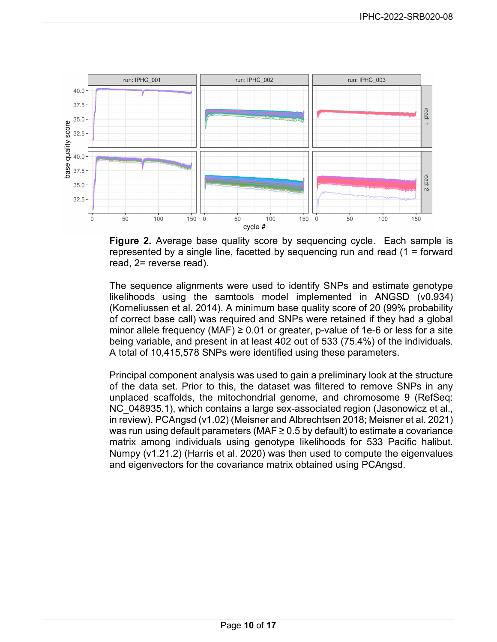

**Figure 2.** Average base quality score by sequencing cycle. Each sample is represented by a single line, facetted by sequencing run and read (1 = forward read, 2= reverse read).

The sequence alignments were used to identify SNPs and estimate genotype likelihoods using the samtools model implemented in ANGSD (v0.934) (Korneliussen et al. 2014). A minimum base quality score of 20 (99% probability of correct base call) was required and SNPs were retained if they had a global minor allele frequency (MAF)  $\geq$  0.01 or greater, p-value of 1e-6 or less for a site being variable, and present in at least 402 out of 533 (75.4%) of the individuals. A total of 10,415,578 SNPs were identified using these parameters.

Principal component analysis was used to gain a preliminary look at the structure of the data set. Prior to this, the dataset was filtered to remove SNPs in any unplaced scaffolds, the mitochondrial genome, and chromosome 9 (RefSeq: NC 048935.1), which contains a large sex-associated region (Jasonowicz et al., in review). PCAngsd (v1.02) (Meisner and Albrechtsen 2018; Meisner et al. 2021) was run using default parameters (MAF $\geq$  0.5 by default) to estimate a covariance matrix among individuals using genotype likelihoods for 533 Pacific halibut. Numpy (v1.21.2) (Harris et al. 2020) was then used to compute the eigenvalues and eigenvectors for the covariance matrix obtained using PCAngsd.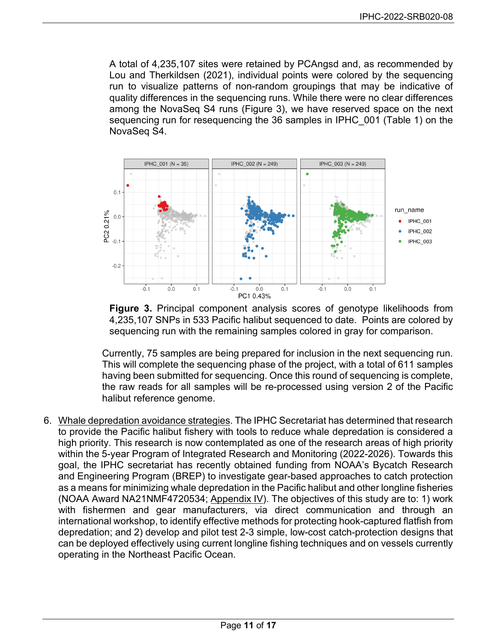A total of 4,235,107 sites were retained by PCAngsd and, as recommended by Lou and Therkildsen (2021), individual points were colored by the sequencing run to visualize patterns of non-random groupings that may be indicative of quality differences in the sequencing runs. While there were no clear differences among the NovaSeq S4 runs (Figure 3), we have reserved space on the next sequencing run for resequencing the 36 samples in IPHC\_001 (Table 1) on the NovaSeq S4.



**Figure 3.** Principal component analysis scores of genotype likelihoods from 4,235,107 SNPs in 533 Pacific halibut sequenced to date. Points are colored by sequencing run with the remaining samples colored in gray for comparison.

Currently, 75 samples are being prepared for inclusion in the next sequencing run. This will complete the sequencing phase of the project, with a total of 611 samples having been submitted for sequencing. Once this round of sequencing is complete, the raw reads for all samples will be re-processed using version 2 of the Pacific halibut reference genome.

6. Whale depredation avoidance strategies. The IPHC Secretariat has determined that research to provide the Pacific halibut fishery with tools to reduce whale depredation is considered a high priority. This research is now contemplated as one of the research areas of high priority within the 5-year Program of Integrated Research and Monitoring (2022-2026). Towards this goal, the IPHC secretariat has recently obtained funding from NOAA's Bycatch Research and Engineering Program (BREP) to investigate gear-based approaches to catch protection as a means for minimizing whale depredation in the Pacific halibut and other longline fisheries (NOAA Award NA21NMF4720534; [Appendix IV\)](#page-16-0). The objectives of this study are to: 1) work with fishermen and gear manufacturers, via direct communication and through an international workshop, to identify effective methods for protecting hook-captured flatfish from depredation; and 2) develop and pilot test 2-3 simple, low-cost catch-protection designs that can be deployed effectively using current longline fishing techniques and on vessels currently operating in the Northeast Pacific Ocean.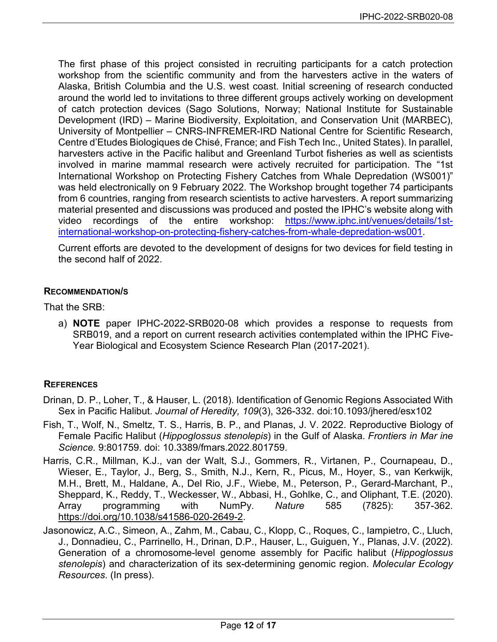The first phase of this project consisted in recruiting participants for a catch protection workshop from the scientific community and from the harvesters active in the waters of Alaska, British Columbia and the U.S. west coast. Initial screening of research conducted around the world led to invitations to three different groups actively working on development of catch protection devices (Sago Solutions, Norway; National Institute for Sustainable Development (IRD) – Marine Biodiversity, Exploitation, and Conservation Unit (MARBEC), University of Montpellier – CNRS-INFREMER-IRD National Centre for Scientific Research, Centre d'Etudes Biologiques de Chisé, France; and Fish Tech Inc., United States). In parallel, harvesters active in the Pacific halibut and Greenland Turbot fisheries as well as scientists involved in marine mammal research were actively recruited for participation. The "1st International Workshop on Protecting Fishery Catches from Whale Depredation (WS001)" was held electronically on 9 February 2022. The Workshop brought together 74 participants from 6 countries, ranging from research scientists to active harvesters. A report summarizing material presented and discussions was produced and posted the IPHC's website along with video recordings of the entire workshop: [https://www.iphc.int/venues/details/1st](https://www.iphc.int/venues/details/1st-international-workshop-on-protecting-fishery-catches-from-whale-depredation-ws001)[international-workshop-on-protecting-fishery-catches-from-whale-depredation-ws001.](https://www.iphc.int/venues/details/1st-international-workshop-on-protecting-fishery-catches-from-whale-depredation-ws001)

Current efforts are devoted to the development of designs for two devices for field testing in the second half of 2022.

#### **RECOMMENDATION/S**

That the SRB:

a) **NOTE** paper IPHC-2022-SRB020-08 which provides a response to requests from SRB019, and a report on current research activities contemplated within the IPHC Five-Year Biological and Ecosystem Science Research Plan (2017-2021).

### **REFERENCES**

- Drinan, D. P., Loher, T., & Hauser, L. (2018). Identification of Genomic Regions Associated With Sex in Pacific Halibut. *Journal of Heredity, 109*(3), 326-332. doi:10.1093/jhered/esx102
- Fish, T., Wolf, N., Smeltz, T. S., Harris, B. P., and Planas, J. V. 2022. Reproductive Biology of Female Pacific Halibut (*Hippoglossus stenolepis*) in the Gulf of Alaska. *Frontiers in Mar ine Science.* 9:801759. doi: 10.3389/fmars.2022.801759.
- Harris, C.R., Millman, K.J., van der Walt, S.J., Gommers, R., Virtanen, P., Cournapeau, D., Wieser, E., Taylor, J., Berg, S., Smith, N.J., Kern, R., Picus, M., Hoyer, S., van Kerkwijk, M.H., Brett, M., Haldane, A., Del Rio, J.F., Wiebe, M., Peterson, P., Gerard-Marchant, P., Sheppard, K., Reddy, T., Weckesser, W., Abbasi, H., Gohlke, C., and Oliphant, T.E. (2020). Array programming with NumPy. *Nature* 585 (7825): 357-362. [https://doi.org/10.1038/s41586-020-2649-2.](https://doi.org/10.1038/s41586-020-2649-2)
- Jasonowicz, A.C., Simeon, A., Zahm, M., Cabau, C., Klopp, C., Roques, C., Iampietro, C., Lluch, J., Donnadieu, C., Parrinello, H., Drinan, D.P., Hauser, L., Guiguen, Y., Planas, J.V. (2022). Generation of a chromosome-level genome assembly for Pacific halibut (*Hippoglossus stenolepis*) and characterization of its sex-determining genomic region. *Molecular Ecology Resources*. (In press).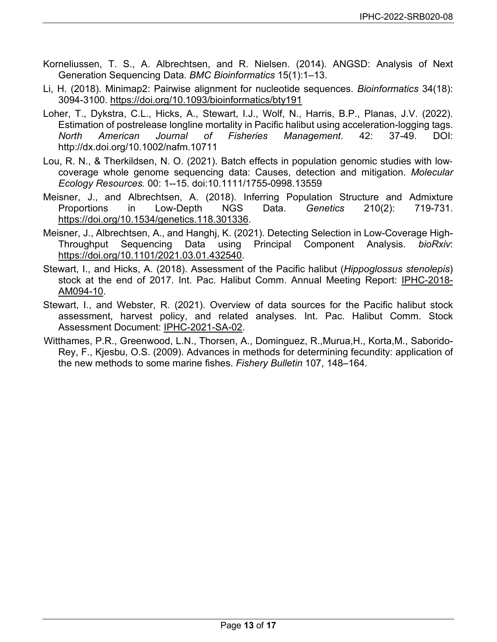- Korneliussen, T. S., A. Albrechtsen, and R. Nielsen. (2014). ANGSD: Analysis of Next Generation Sequencing Data. *BMC Bioinformatics* 15(1):1–13.
- Li, H. (2018). Minimap2: Pairwise alignment for nucleotide sequences. *Bioinformatics* 34(18): 3094-3100.<https://doi.org/10.1093/bioinformatics/bty191>
- Loher, T., Dykstra, C.L., Hicks, A., Stewart, I.J., Wolf, N., Harris, B.P., Planas, J.V. (2022). Estimation of postrelease longline mortality in Pacific halibut using acceleration-logging tags. *North American Journal of Fisheries Management*. 42: 37-49. DOI: http://dx.doi.org/10.1002/nafm.10711
- Lou, R. N., & Therkildsen, N. O. (2021). Batch effects in population genomic studies with low‐ coverage whole genome sequencing data: Causes, detection and mitigation. *Molecular Ecology Resources.* 00: 1--15. doi:10.1111/1755-0998.13559
- Meisner, J., and Albrechtsen, A. (2018). Inferring Population Structure and Admixture Proportions in Low-Depth NGS Data. *Genetics* 210(2): 719-731. [https://doi.org/10.1534/genetics.118.301336.](https://doi.org/10.1534/genetics.118.301336)
- Meisner, J., Albrechtsen, A., and Hanghj, K. (2021). Detecting Selection in Low-Coverage High-Throughput Sequencing Data using Principal Component Analysis. *bioRxiv*: [https://doi.org/10.1101/2021.03.01.432540.](https://doi.org/10.1101/2021.03.01.432540)
- Stewart, I., and Hicks, A. (2018). Assessment of the Pacific halibut (*Hippoglossus stenolepis*) stock at the end of 2017. Int. Pac. Halibut Comm. Annual Meeting Report: [IPHC-2018-](https://www.iphc.int/uploads/pdf/am/2018am/iphc-2018-am094-10.pdf) [AM094-10.](https://www.iphc.int/uploads/pdf/am/2018am/iphc-2018-am094-10.pdf)
- Stewart, I., and Webster, R. (2021). Overview of data sources for the Pacific halibut stock assessment, harvest policy, and related analyses. Int. Pac. Halibut Comm. Stock Assessment Document: [IPHC-2021-SA-02.](https://www.iphc.int/uploads/pdf/sa/2021/iphc-2021-sa-02.pdf)
- Witthames, P.R., Greenwood, L.N., Thorsen, A., Dominguez, R.,Murua,H., Korta,M., Saborido-Rey, F., Kjesbu, O.S. (2009). Advances in methods for determining fecundity: application of the new methods to some marine fishes. *Fishery Bulletin* 107, 148–164.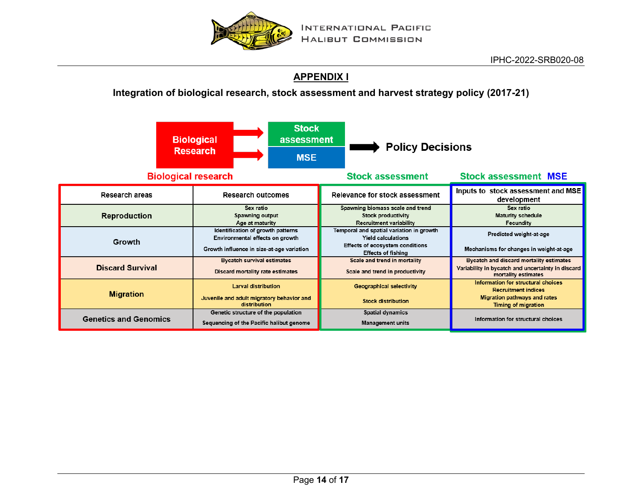

## **[APPENDIX I](#page-13-1)**

### **Integration of biological research, stock assessment and harvest strategy policy (2017-21)**

<span id="page-13-1"></span><span id="page-13-0"></span>

|                              | <b>Stock</b><br><b>Biological</b><br>assessment<br><b>Research</b><br><b>MSE</b>                                  | <b>Policy Decisions</b>                                                                                                               |                                                                                                                                |  |  |
|------------------------------|-------------------------------------------------------------------------------------------------------------------|---------------------------------------------------------------------------------------------------------------------------------------|--------------------------------------------------------------------------------------------------------------------------------|--|--|
| <b>Biological research</b>   |                                                                                                                   | <b>Stock assessment</b>                                                                                                               | <b>Stock assessment MSE</b>                                                                                                    |  |  |
| <b>Research areas</b>        | <b>Research outcomes</b>                                                                                          | Relevance for stock assessment                                                                                                        | Inputs to stock assessment and MSE<br>development                                                                              |  |  |
| <b>Reproduction</b>          | Sex ratio<br>Spawning output<br>Age at maturity                                                                   | Spawning biomass scale and trend<br><b>Stock productivity</b><br><b>Recruitment variability</b>                                       | Sex ratio<br><b>Maturity schedule</b><br>Fecundity                                                                             |  |  |
| Growth                       | Identification of growth patterns<br>Environmental effects on growth<br>Growth influence in size-at-age variation | Temporal and spatial variation in growth<br><b>Yield calculations</b><br>Effects of ecosystem conditions<br><b>Effects of fishing</b> | Predicted weight-at-age<br>Mechanisms for changes in weight-at-age                                                             |  |  |
| <b>Discard Survival</b>      | <b>Bycatch survival estimates</b><br>Discard mortality rate estimates                                             | Scale and trend in mortality<br>Scale and trend in productivity                                                                       | Bycatch and discard mortality estimates<br>Variability in bycatch and uncertainty in discard<br>mortality estimates            |  |  |
| <b>Migration</b>             | <b>Larval distribution</b><br>Juvenile and adult migratory behavior and<br>distribution                           | <b>Geographical selectivity</b><br><b>Stock distribution</b>                                                                          | Information for structural choices<br><b>Recruitment indices</b><br>Migration pathways and rates<br><b>Timing of migration</b> |  |  |
| <b>Genetics and Genomics</b> | Genetic structure of the population<br>Sequencing of the Pacific halibut genome                                   | <b>Spatial dynamics</b><br><b>Management units</b>                                                                                    | Information for structural choices                                                                                             |  |  |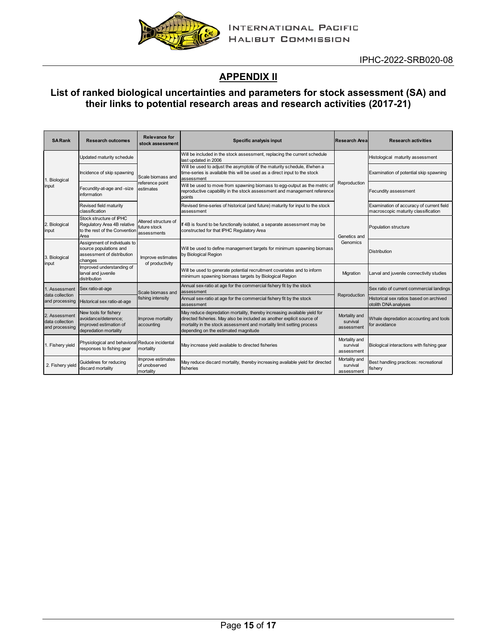

# **[APPENDIX II](#page-14-0)**

### <span id="page-14-0"></span>**List of ranked biological uncertainties and parameters for stock assessment (SA) and their links to potential research areas and research activities (2017-21)**

| <b>SARank</b>                                      | <b>Research outcomes</b>                                                                         | Relevance for<br>stock assessment                   | Specific analysis input                                                                                                                                                                                                                                             | <b>Research Area</b>                    | <b>Research activities</b>                                                      |  |
|----------------------------------------------------|--------------------------------------------------------------------------------------------------|-----------------------------------------------------|---------------------------------------------------------------------------------------------------------------------------------------------------------------------------------------------------------------------------------------------------------------------|-----------------------------------------|---------------------------------------------------------------------------------|--|
| 1. Biological<br>input                             | Updated maturity schedule                                                                        |                                                     | Will be included in the stock assessment, replacing the current schedule<br>last updated in 2006                                                                                                                                                                    |                                         | Histological maturity assessment                                                |  |
|                                                    | Incidence of skip spawning                                                                       | Scale biomass and<br>reference point<br>estimates   | Will be used to adjust the asymptote of the maturity schedule, if/when a<br>time-series is available this will be used as a direct input to the stock<br>assessment                                                                                                 |                                         | Examination of potential skip spawning                                          |  |
|                                                    | Fecundity-at-age and -size<br>information                                                        |                                                     | Will be used to move from spawning biomass to egg-output as the metric of<br>reproductive capability in the stock assessment and management reference<br>points                                                                                                     | Reproduction                            | Fecundity assessment                                                            |  |
|                                                    | Revised field maturity<br>classification                                                         |                                                     | Revised time-series of historical (and future) maturity for input to the stock<br>assessment                                                                                                                                                                        |                                         | Examination of accuracy of current field<br>macroscopic maturity classification |  |
| 2. Biological<br>input                             | Stock structure of IPHC<br>Regulatory Area 4B relative<br>to the rest of the Convention<br>Area  | Altered structure of<br>future stock<br>assessments | If 4B is found to be functionally isolated, a separate assessment may be<br>constructed for that IPHC Regulatory Area                                                                                                                                               | Genetics and                            | Population structure                                                            |  |
| 3. Biological<br>input                             | Assignment of individuals to<br>source populations and<br>assessment of distribution<br>changes  | Improve estimates<br>of productivity                | Will be used to define management targets for minimum spawning biomass<br>by Biological Region                                                                                                                                                                      | Genomics                                | <b>Distribution</b>                                                             |  |
|                                                    | Improved understanding of<br>larval and juvenile<br>distribution                                 |                                                     | Will be used to generate potential recruitment covariates and to inform<br>minimum spawning biomass targets by Biological Region                                                                                                                                    | Migration                               | Larval and juvenile connectivity studies                                        |  |
| 1. Assessment                                      | Sex ratio-at-age                                                                                 | Scale biomass and                                   | Annual sex-ratio at age for the commercial fishery fit by the stock<br>assessment                                                                                                                                                                                   |                                         | Sex ratio of current commercial landings                                        |  |
| data collection<br>and processing                  | Historical sex ratio-at-age                                                                      | fishing intensity                                   | Annual sex-ratio at age for the commercial fishery fit by the stock<br>assessment                                                                                                                                                                                   | Reproduction                            | Historical sex ratios based on archived<br>otolith DNA analyses                 |  |
| 2. Assessment<br>data collection<br>and processing | New tools for fishery<br>avoidance/deterence:<br>improved estimation of<br>depredation mortality | Improve mortality<br>accounting                     | May reduce depredation mortality, thereby increasing available yield for<br>directed fisheries. May also be included as another explicit source of<br>mortality in the stock assessment and mortality limit setting process<br>depending on the estimated magnitude | Mortality and<br>survival<br>assessment | Whale depredation accounting and tools<br>for avoidance                         |  |
| 1. Fishery yield                                   | Physiological and behavioral Reduce incidental<br>responses to fishing gear                      | mortality                                           | May increase yield available to directed fisheries                                                                                                                                                                                                                  | Mortality and<br>survival<br>assessment | Biological interactions with fishing gear                                       |  |
| 2. Fishery yield                                   | Guidelines for reducing<br>discard mortality                                                     | Improve estimates<br>of unobserved<br>mortality     | May reduce discard mortality, thereby increasing available yield for directed<br>fisheries                                                                                                                                                                          | Mortality and<br>survival<br>assessment | Best handling practices: recreational<br>fishery                                |  |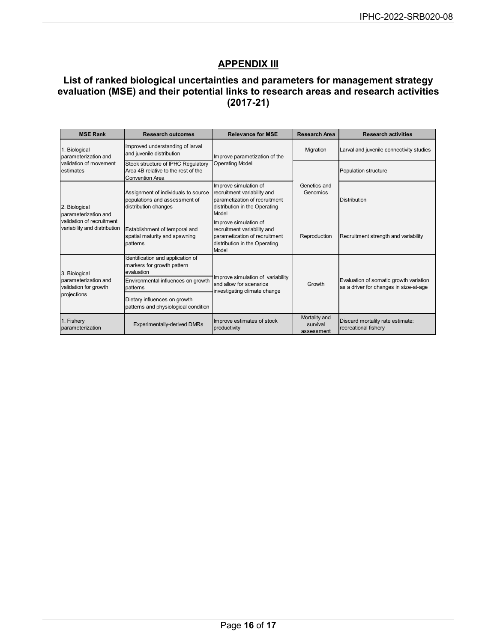## **APPENDIX III**

#### <span id="page-15-0"></span>**List of ranked biological uncertainties and parameters for management strategy evaluation (MSE) and their potential links to research areas and research activities (2017-21)**

| <b>MSE Rank</b>                                                                                    | <b>Research outcomes</b>                                                                            | <b>Relevance for MSE</b>                                                                                                        | Research Area                           | <b>Research activities</b>                                                       |  |
|----------------------------------------------------------------------------------------------------|-----------------------------------------------------------------------------------------------------|---------------------------------------------------------------------------------------------------------------------------------|-----------------------------------------|----------------------------------------------------------------------------------|--|
| 1. Biological<br>parameterization and<br>validation of movement<br>estimates                       | Improved understanding of larval<br>and juvenile distribution                                       | Improve parametization of the                                                                                                   | Migration                               | Larval and juvenile connectivity studies                                         |  |
|                                                                                                    | Stock structure of IPHC Regulatory<br>Area 4B relative to the rest of the<br><b>Convention Area</b> | <b>Operating Model</b>                                                                                                          |                                         | Population structure                                                             |  |
| 2. Biological<br>parameterization and<br>validation of recruitment<br>variability and distribution | Assignment of individuals to source<br>populations and assessment of<br>distribution changes        | Improve simulation of<br>recruitment variability and<br>parametization of recruitment<br>distribution in the Operating<br>Model | Genetics and<br>Genomics                | <b>Distribution</b>                                                              |  |
|                                                                                                    | Establishment of temporal and<br>spatial maturity and spawning<br>patterns                          | Improve simulation of<br>recruitment variability and<br>parametization of recruitment<br>distribution in the Operating<br>Model | Reproduction                            | Recruitment strength and variability                                             |  |
| 3. Biological<br>parameterization and<br>validation for growth<br>projections                      | Identification and application of<br>markers for growth pattern<br>evaluation                       |                                                                                                                                 | Growth                                  |                                                                                  |  |
|                                                                                                    | Environmental influences on growth<br>patterns                                                      | Improve simulation of variability<br>and allow for scenarios<br>investigating climate change                                    |                                         | Evaluation of somatic growth variation<br>as a driver for changes in size-at-age |  |
|                                                                                                    | Dietary influences on growth<br>patterns and physiological condition                                |                                                                                                                                 |                                         |                                                                                  |  |
| 1. Fishery<br>parameterization                                                                     | <b>Experimentally-derived DMRs</b>                                                                  | Improve estimates of stock<br>productivity                                                                                      | Mortality and<br>survival<br>assessment | Discard mortality rate estimate:<br>recreational fishery                         |  |